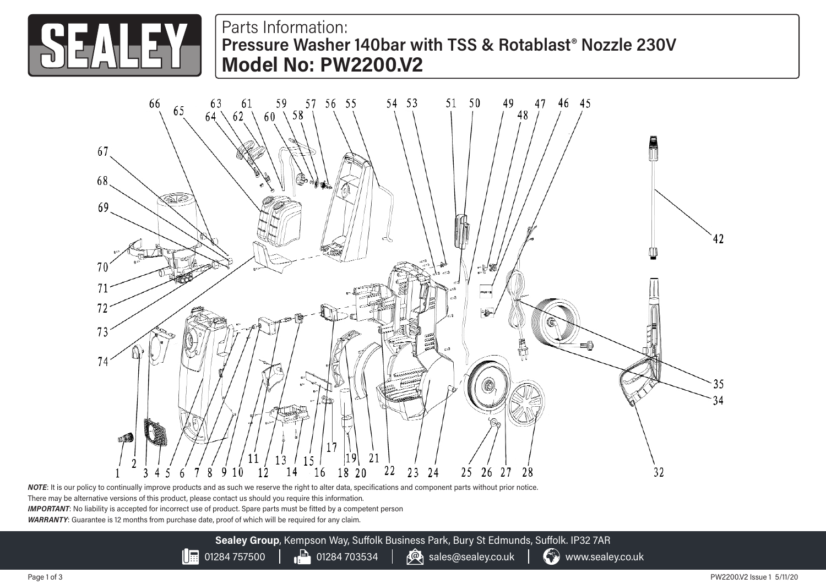

Parts Information: **Pressure Washer 140bar with TSS & Rotablast® Nozzle 230V Model No: PW2200.V2**



*NOTE*: It is our policy to continually improve products and as such we reserve the right to alter data, specifications and component parts without prior notice. There may be alternative versions of this product, please contact us should you require this information. *IMPORTANT*: No liability is accepted for incorrect use of product. Spare parts must be fitted by a competent person *WARRANTY*: Guarantee is 12 months from purchase date, proof of which will be required for any claim.

> **Sealey Group**, Kempson Way, Suffolk Business Park, Bury St Edmunds, Suffolk. IP32 7AR  $\left|\frac{1}{100}\right|$  01284 757500  $\left|\frac{1}{100}\right|$  01284 703534  $\left|\frac{1}{100}\right|$  sales@sealey.co.uk  $\left|\frac{1}{100}\right|$  www.sealey.co.uk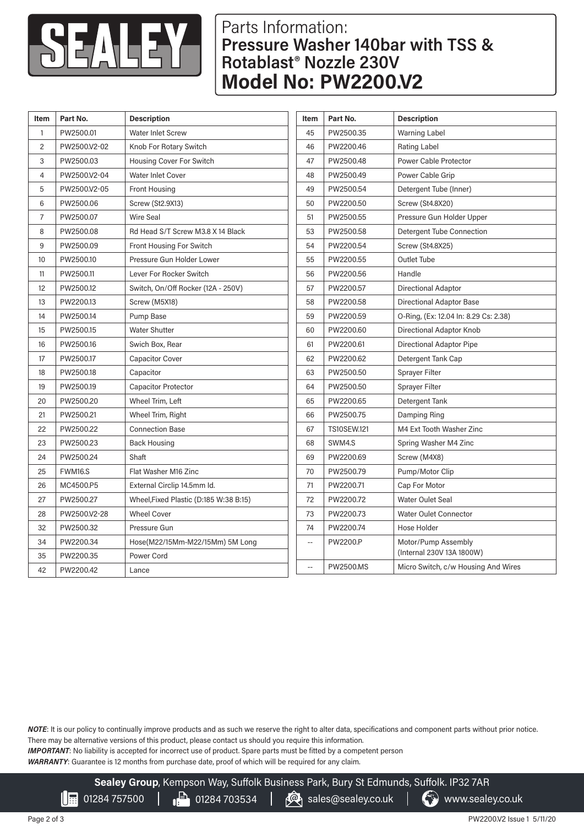

## Parts Information: **Pressure Washer 140bar with TSS & Rotablast® Nozzle 230V Model No: PW2200.V2**

| Item           | Part No.     | <b>Description</b>                     | Item                     | Part No.           | <b>Description</b>                    |
|----------------|--------------|----------------------------------------|--------------------------|--------------------|---------------------------------------|
| $\mathbf{1}$   | PW2500.01    | <b>Water Inlet Screw</b>               | 45                       | PW2500.35          | <b>Warning Label</b>                  |
| $\overline{2}$ | PW2500.V2-02 | Knob For Rotary Switch                 | 46                       | PW2200.46          | <b>Rating Label</b>                   |
| 3              | PW2500.03    | Housing Cover For Switch               | 47                       | PW2500.48          | Power Cable Protector                 |
| 4              | PW2500.V2-04 | Water Inlet Cover                      | 48                       | PW2500.49          | Power Cable Grip                      |
| 5              | PW2500.V2-05 | <b>Front Housing</b>                   | 49                       | PW2500.54          | Detergent Tube (Inner)                |
| 6              | PW2500.06    | Screw (St2.9X13)                       | 50                       | PW2200.50          | Screw (St4.8X20)                      |
| 7              | PW2500.07    | <b>Wire Seal</b>                       | 51                       | PW2500.55          | Pressure Gun Holder Upper             |
| 8              | PW2500.08    | Rd Head S/T Screw M3.8 X 14 Black      | 53                       | PW2500.58          | Detergent Tube Connection             |
| 9              | PW2500.09    | Front Housing For Switch               | 54                       | PW2200.54          | <b>Screw (St4.8X25)</b>               |
| 10             | PW2500.10    | Pressure Gun Holder Lower              | 55                       | PW2200.55          | Outlet Tube                           |
| 11             | PW2500.11    | Lever For Rocker Switch                | 56                       | PW2200.56          | Handle                                |
| 12             | PW2500.12    | Switch, On/Off Rocker (12A - 250V)     | 57                       | PW2200.57          | <b>Directional Adaptor</b>            |
| 13             | PW2200.13    | Screw (M5X18)                          | 58                       | PW2200.58          | <b>Directional Adaptor Base</b>       |
| 14             | PW2500.14    | Pump Base                              | 59                       | PW2200.59          | O-Ring, (Ex: 12.04 In: 8.29 Cs: 2.38) |
| 15             | PW2500.15    | <b>Water Shutter</b>                   | 60                       | PW2200.60          | Directional Adaptor Knob              |
| 16             | PW2500.16    | Swich Box, Rear                        | 61                       | PW2200.61          | Directional Adaptor Pipe              |
| 17             | PW2500.17    | <b>Capacitor Cover</b>                 | 62                       | PW2200.62          | Detergent Tank Cap                    |
| 18             | PW2500.18    | Capacitor                              | 63                       | PW2500.50          | <b>Sprayer Filter</b>                 |
| 19             | PW2500.19    | Capacitor Protector                    | 64                       | PW2500.50          | <b>Sprayer Filter</b>                 |
| 20             | PW2500.20    | Wheel Trim, Left                       | 65                       | PW2200.65          | Detergent Tank                        |
| 21             | PW2500.21    | Wheel Trim, Right                      | 66                       | PW2500.75          | Damping Ring                          |
| 22             | PW2500.22    | <b>Connection Base</b>                 | 67                       | <b>TS10SEW.121</b> | M4 Ext Tooth Washer Zinc              |
| 23             | PW2500.23    | <b>Back Housing</b>                    | 68                       | SWM4.S             | Spring Washer M4 Zinc                 |
| 24             | PW2500.24    | Shaft                                  | 69                       | PW2200.69          | Screw (M4X8)                          |
| 25             | FWM16.S      | Flat Washer M16 Zinc                   | 70                       | PW2500.79          | Pump/Motor Clip                       |
| 26             | MC4500.P5    | External Circlip 14.5mm Id.            | 71                       | PW2200.71          | Cap For Motor                         |
| 27             | PW2500.27    | Wheel, Fixed Plastic (D:185 W:38 B:15) | 72                       | PW2200.72          | <b>Water Oulet Seal</b>               |
| 28             | PW2500.V2-28 | <b>Wheel Cover</b>                     | 73                       | PW2200.73          | <b>Water Oulet Connector</b>          |
| 32             | PW2500.32    | Pressure Gun                           | 74                       | PW2200.74          | Hose Holder                           |
| 34             | PW2200.34    | Hose(M22/15Mm-M22/15Mm) 5M Long        | $\overline{\phantom{a}}$ | PW2200.P           | Motor/Pump Assembly                   |
| 35             | PW2200.35    | Power Cord                             |                          |                    | (Internal 230V 13A 1800W)             |
| 42             | PW2200.42    | Lance                                  | Ξ.                       | PW2500.MS          | Micro Switch, c/w Housing And Wires   |

*NOTE*: It is our policy to continually improve products and as such we reserve the right to alter data, specifications and component parts without prior notice. There may be alternative versions of this product, please contact us should you require this information.

*IMPORTANT*: No liability is accepted for incorrect use of product. Spare parts must be fitted by a competent person

*WARRANTY*: Guarantee is 12 months from purchase date, proof of which will be required for any claim.

**Sealey Group**, Kempson Way, Suffolk Business Park, Bury St Edmunds, Suffolk. IP32 7AR

01284 757500 **01284** 01284 703534 **6** sales@sealey.co.uk **6** www.sealey.co.uk  $\mathsf{\Pi}$ 

PW2200.V2 Issue 1 5/11/20